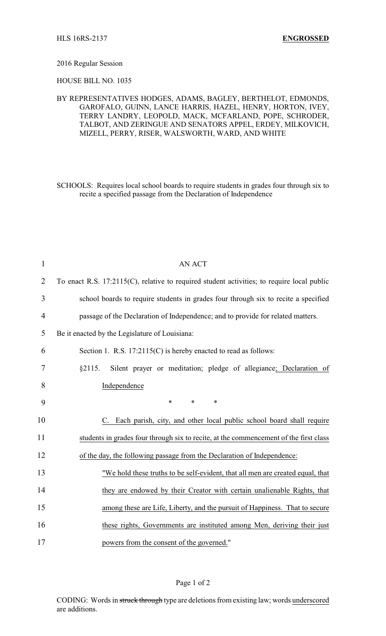## 2016 Regular Session

HOUSE BILL NO. 1035

## BY REPRESENTATIVES HODGES, ADAMS, BAGLEY, BERTHELOT, EDMONDS, GAROFALO, GUINN, LANCE HARRIS, HAZEL, HENRY, HORTON, IVEY, TERRY LANDRY, LEOPOLD, MACK, MCFARLAND, POPE, SCHRODER, TALBOT, AND ZERINGUE AND SENATORS APPEL, ERDEY, MILKOVICH, MIZELL, PERRY, RISER, WALSWORTH, WARD, AND WHITE

SCHOOLS: Requires local school boards to require students in grades four through six to recite a specified passage from the Declaration of Independence

| $\mathbf{1}$   | <b>AN ACT</b>                                                                              |
|----------------|--------------------------------------------------------------------------------------------|
| $\overline{2}$ | To enact R.S. 17:2115(C), relative to required student activities; to require local public |
| 3              | school boards to require students in grades four through six to recite a specified         |
| 4              | passage of the Declaration of Independence; and to provide for related matters.            |
| 5              | Be it enacted by the Legislature of Louisiana:                                             |
| 6              | Section 1. R.S. 17:2115(C) is hereby enacted to read as follows:                           |
| 7              | §2115.<br>Silent prayer or meditation; pledge of allegiance; Declaration of                |
| 8              | Independence                                                                               |
| 9              | $\ast$<br>$\ast$<br>$\ast$                                                                 |
| 10             | C. Each parish, city, and other local public school board shall require                    |
| 11             | students in grades four through six to recite, at the commencement of the first class      |
| 12             | of the day, the following passage from the Declaration of Independence:                    |
| 13             | "We hold these truths to be self-evident, that all men are created equal, that             |
| 14             | they are endowed by their Creator with certain unalienable Rights, that                    |
| 15             | among these are Life, Liberty, and the pursuit of Happiness. That to secure                |
| 16             | these rights, Governments are instituted among Men, deriving their just                    |
| 17             | powers from the consent of the governed."                                                  |

CODING: Words in struck through type are deletions from existing law; words underscored are additions.